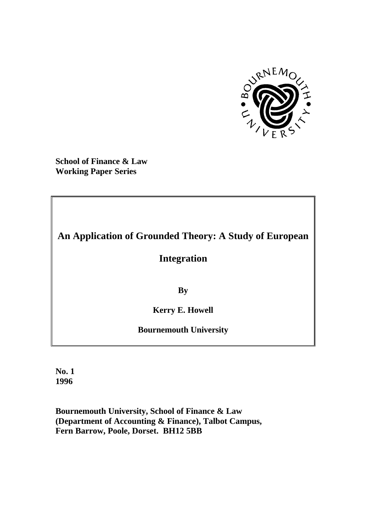

**School of Finance & Law Working Paper Series**

# **An Application of Grounded Theory: A Study of European**

# **Integration**

**By**

**Kerry E. Howell**

**Bournemouth University**

**No. 1 1996**

**Bournemouth University, School of Finance & Law (Department of Accounting & Finance), Talbot Campus, Fern Barrow, Poole, Dorset. BH12 5BB**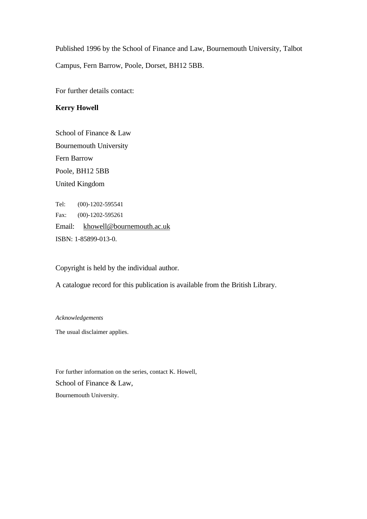Published 1996 by the School of Finance and Law, Bournemouth University, Talbot Campus, Fern Barrow, Poole, Dorset, BH12 5BB.

For further details contact:

## **Kerry Howell**

School of Finance & Law Bournemouth University Fern Barrow Poole, BH12 5BB United Kingdom

Tel: (00)-1202-595541 Fax: (00)-1202-595261 Email: khowell@bournemouth.ac.uk ISBN: 1-85899-013-0.

Copyright is held by the individual author.

A catalogue record for this publication is available from the British Library.

#### *Acknowledgements*

The usual disclaimer applies.

For further information on the series, contact K. Howell, School of Finance & Law, Bournemouth University.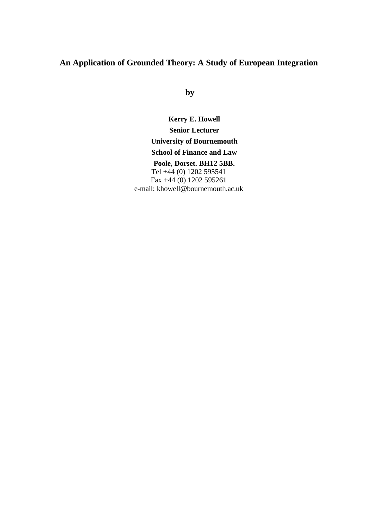# **An Application of Grounded Theory: A Study of European Integration**

**by**

**Kerry E. Howell Senior Lecturer University of Bournemouth School of Finance and Law Poole, Dorset. BH12 5BB.** Tel +44 (0) 1202 595541 Fax  $+44(0)$  1202 595261

e-mail: khowell@bournemouth.ac.uk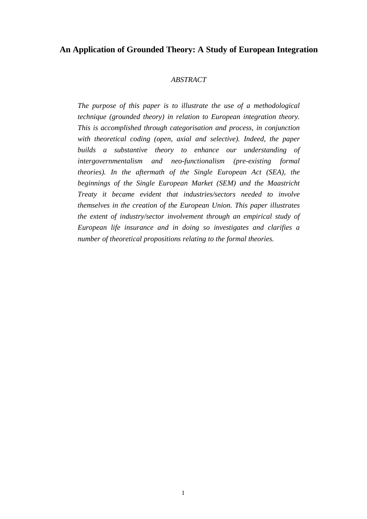## **An Application of Grounded Theory: A Study of European Integration**

## *ABSTRACT*

*The purpose of this paper is to illustrate the use of a methodological technique (grounded theory) in relation to European integration theory. This is accomplished through categorisation and process, in conjunction with theoretical coding (open, axial and selective). Indeed, the paper builds a substantive theory to enhance our understanding of intergovernmentalism and neo-functionalism (pre-existing formal theories). In the aftermath of the Single European Act (SEA), the beginnings of the Single European Market (SEM) and the Maastricht Treaty it became evident that industries/sectors needed to involve themselves in the creation of the European Union. This paper illustrates the extent of industry/sector involvement through an empirical study of European life insurance and in doing so investigates and clarifies a number of theoretical propositions relating to the formal theories.*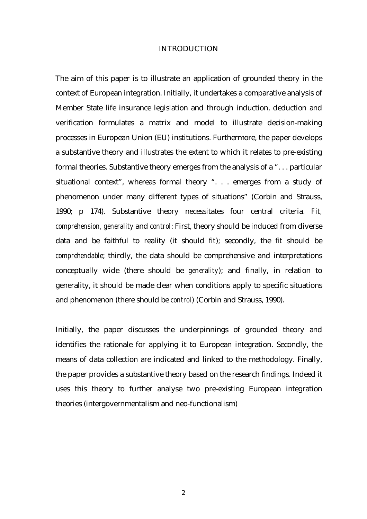#### INTRODUCTION

The aim of this paper is to illustrate an application of grounded theory in the context of European integration. Initially, it undertakes a comparative analysis of Member State life insurance legislation and through induction, deduction and verification formulates a matrix and model to illustrate decision-making processes in European Union (EU) institutions. Furthermore, the paper develops a substantive theory and illustrates the extent to which it relates to pre-existing formal theories. Substantive theory emerges from the analysis of a ". . . particular situational context", whereas formal theory ". . . emerges from a study of phenomenon under many different types of situations" (Corbin and Strauss, 1990; p 174). Substantive theory necessitates four central criteria. *Fit, comprehension, generality* and *control*: First, theory should be induced from diverse data and be faithful to reality (it should *fit*); secondly, the *fit* should be *comprehendable*; thirdly, the data should be comprehensive and interpretations conceptually wide (there should be *generality*); and finally, in relation to generality, it should be made clear when conditions apply to specific situations and phenomenon (there should be *control*) (Corbin and Strauss, 1990).

Initially, the paper discusses the underpinnings of grounded theory and identifies the rationale for applying it to European integration. Secondly, the means of data collection are indicated and linked to the methodology. Finally, the paper provides a substantive theory based on the research findings. Indeed it uses this theory to further analyse two pre-existing European integration theories (intergovernmentalism and neo-functionalism)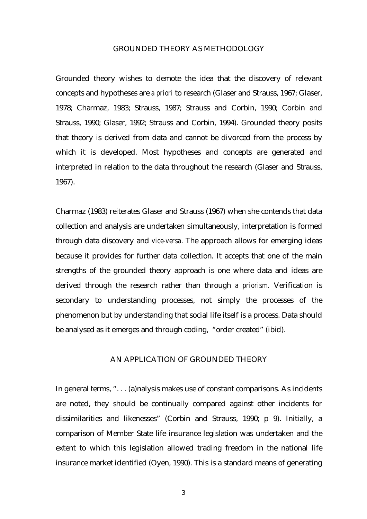#### GROUNDED THEORY AS METHODOLOGY

Grounded theory wishes to demote the idea that the discovery of relevant concepts and hypotheses are *a priori* to research (Glaser and Strauss, 1967; Glaser, 1978; Charmaz, 1983; Strauss, 1987; Strauss and Corbin, 1990; Corbin and Strauss, 1990; Glaser, 1992; Strauss and Corbin, 1994). Grounded theory posits that theory is derived from data and cannot be divorced from the process by which it is developed. Most hypotheses and concepts are generated and interpreted in relation to the data throughout the research (Glaser and Strauss, 1967).

Charmaz (1983) reiterates Glaser and Strauss (1967) when she contends that data collection and analysis are undertaken simultaneously, interpretation is formed through data discovery and *vice-versa*. The approach allows for emerging ideas because it provides for further data collection. It accepts that one of the main strengths of the grounded theory approach is one where data and ideas are derived through the research rather than through *a priorism.* Verification is secondary to understanding processes, not simply the processes of the phenomenon but by understanding that social life itself is a process. Data should be analysed as it emerges and through coding, "order created" (ibid).

## AN APPLICATION OF GROUNDED THEORY

In general terms, ". . . (a)nalysis makes use of constant comparisons. As incidents are noted, they should be continually compared against other incidents for dissimilarities and likenesses" (Corbin and Strauss, 1990; p 9). Initially, a comparison of Member State life insurance legislation was undertaken and the extent to which this legislation allowed trading freedom in the national life insurance market identified (Oyen, 1990). This is a standard means of generating

3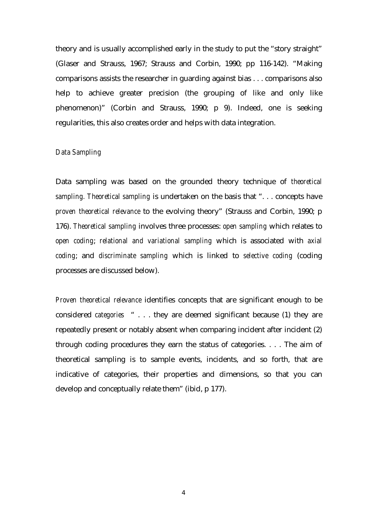theory and is usually accomplished early in the study to put the "story straight" (Glaser and Strauss, 1967; Strauss and Corbin, 1990; pp 116-142). "Making comparisons assists the researcher in guarding against bias . . . comparisons also help to achieve greater precision (the grouping of like and only like phenomenon)" (Corbin and Strauss, 1990; p 9). Indeed, one is seeking regularities, this also creates order and helps with data integration.

## *Data Sampling*

Data sampling was based on the grounded theory technique of *theoretical sampling. Theoretical sampling* is undertaken on the basis that ". . . concepts have *proven theoretical relevance* to the evolving theory" (Strauss and Corbin, 1990; p 176). *Theoretical sampling* involves three processes: *open sampling* which relates to *open coding*; *relational and variational sampling* which is associated with *axial coding*; and *discriminate sampling* which is linked to *selective coding* (coding processes are discussed below).

*Proven theoretical relevance* identifies concepts that are significant enough to be considered *categories* " . . . they are deemed significant because (1) they are repeatedly present or notably absent when comparing incident after incident (2) through coding procedures they earn the status of categories. . . . The aim of theoretical sampling is to sample events, incidents, and so forth, that are indicative of categories, their properties and dimensions, so that you can develop and conceptually relate them" (ibid, p 177).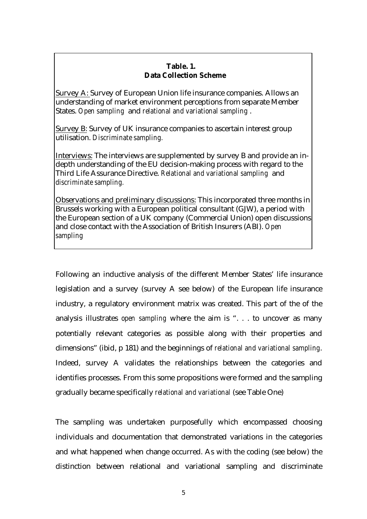## **Table. 1. Data Collection Scheme**

Survey A: Survey of European Union life insurance companies. Allows an understanding of market environment perceptions from separate Member States. *Open sampling* and *relational and variational sampling* .

Survey B: Survey of UK insurance companies to ascertain interest group utilisation. *Discriminate sampling.*

Interviews: The interviews are supplemented by survey B and provide an indepth understanding of the EU decision-making process with regard to the Third Life Assurance Directive. *Relational and variational sampling* and *discriminate sampling.*

Observations and preliminary discussions: This incorporated three months in Brussels working with a European political consultant (GJW), a period with the European section of a UK company (Commercial Union) open discussions and close contact with the Association of British Insurers (ABI). *Open sampling*

Following an inductive analysis of the different Member States' life insurance legislation and a survey (survey A see below) of the European life insurance industry, a regulatory environment matrix was created. This part of the of the analysis illustrates *open sampling* where the aim is ". . . to uncover as many potentially relevant categories as possible along with their properties and dimensions" (ibid, p 181) and the beginnings of *relational and variational sampling*. Indeed, survey A validates the relationships between the categories and identifies processes. From this some propositions were formed and the sampling gradually became specifically *relational and variational* (see Table One)

The sampling was undertaken purposefully which encompassed choosing individuals and documentation that demonstrated variations in the categories and what happened when change occurred. As with the coding (see below) the distinction between relational and variational sampling and discriminate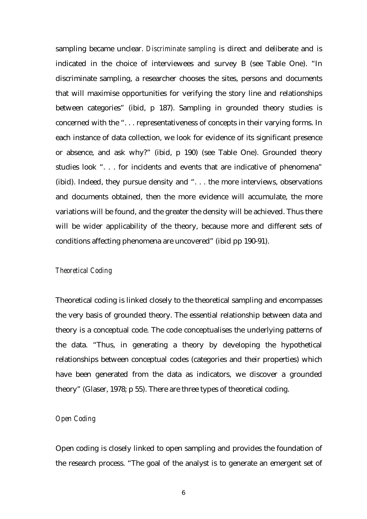sampling became unclear. *Discriminate sampling* is direct and deliberate and is indicated in the choice of interviewees and survey B (see Table One). "In discriminate sampling, a researcher chooses the sites, persons and documents that will maximise opportunities for verifying the story line and relationships between categories" (ibid, p 187). Sampling in grounded theory studies is concerned with the ". . . representativeness of concepts in their varying forms. In each instance of data collection, we look for evidence of its significant presence or absence, and ask why?" (ibid, p 190) (see Table One). Grounded theory studies look ". . . for incidents and events that are indicative of phenomena" (ibid). Indeed, they pursue density and ". . . the more interviews, observations and documents obtained, then the more evidence will accumulate, the more variations will be found, and the greater the density will be achieved. Thus there will be wider applicability of the theory, because more and different sets of conditions affecting phenomena are uncovered" (ibid pp 190-91).

#### *Theoretical Coding*

Theoretical coding is linked closely to the theoretical sampling and encompasses the very basis of grounded theory. The essential relationship between data and theory is a conceptual code. The code conceptualises the underlying patterns of the data. "Thus, in generating a theory by developing the hypothetical relationships between conceptual codes (categories and their properties) which have been generated from the data as indicators, we discover a grounded theory" (Glaser, 1978; p 55). There are three types of theoretical coding.

#### *Open Coding*

Open coding is closely linked to open sampling and provides the foundation of the research process. "The goal of the analyst is to generate an emergent set of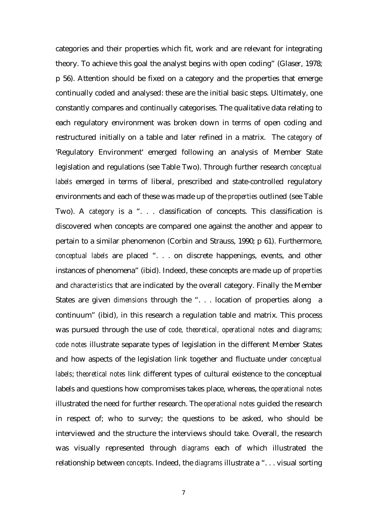categories and their properties which fit, work and are relevant for integrating theory. To achieve this goal the analyst begins with open coding" (Glaser, 1978; p 56). Attention should be fixed on a category and the properties that emerge continually coded and analysed: these are the initial basic steps. Ultimately, one constantly compares and continually categorises. The qualitative data relating to each regulatory environment was broken down in terms of open coding and restructured initially on a table and later refined in a matrix. The *category* of 'Regulatory Environment' emerged following an analysis of Member State legislation and regulations (see Table Two). Through further research *conceptual labels* emerged in terms of liberal, prescribed and state-controlled regulatory environments and each of these was made up of the *properties* outlined (see Table Two). A *category* is a ". . . classification of concepts. This classification is discovered when concepts are compared one against the another and appear to pertain to a similar phenomenon (Corbin and Strauss, 1990; p 61). Furthermore, *conceptual labels* are placed ". . . on discrete happenings, events, and other instances of phenomena" (ibid). Indeed, these concepts are made up of *properties* and *characteristics* that are indicated by the overall category. Finally the Member States are given *dimensions* through the ". . . location of properties along a continuum" (ibid), in this research a regulation table and matrix. This process was pursued through the use of *code, theoretical, operational notes* and *diagrams; code notes* illustrate separate types of legislation in the different Member States and how aspects of the legislation link together and fluctuate under *conceptual labels*; *theoretical notes* link different types of cultural existence to the conceptual labels and questions how compromises takes place, whereas, the *operational notes* illustrated the need for further research. The *operational notes* guided the research in respect of; who to survey; the questions to be asked, who should be interviewed and the structure the interviews should take. Overall, the research was visually represented through *diagrams* each of which illustrated the relationship between *concepts*. Indeed, the *diagrams* illustrate a ". . . visual sorting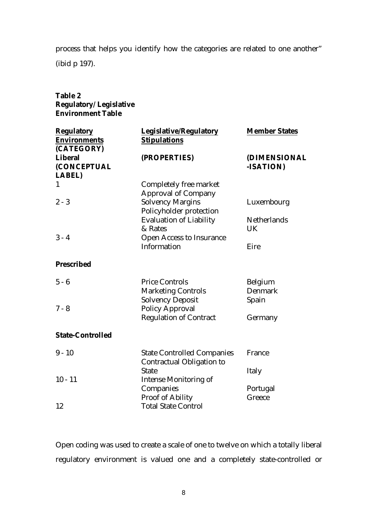process that helps you identify how the categories are related to one another"

(ibid p 197).

| <b>Table 2</b><br><b>Regulatory/Legislative</b><br><b>Environment Table</b> |                                                                                  |                      |
|-----------------------------------------------------------------------------|----------------------------------------------------------------------------------|----------------------|
| <b>Regulatory</b><br><b>Environments</b><br>(CATEGORY)                      | <b>Legislative/Regulatory</b><br><b>Stipulations</b>                             | <b>Member States</b> |
| <b>Liberal</b>                                                              | (PROPERTIES)                                                                     | <b>(DIMENSIONAL</b>  |
| (CONCEPTUAL                                                                 |                                                                                  | -ISATION)            |
| <b>LABEL)</b>                                                               |                                                                                  |                      |
| 1                                                                           | Completely free market                                                           |                      |
| $2 - 3$                                                                     | <b>Approval of Company</b><br><b>Solvency Margins</b><br>Policyholder protection | Luxembourg           |
|                                                                             | <b>Evaluation of Liability</b>                                                   | <b>Netherlands</b>   |
|                                                                             | & Rates                                                                          | <b>UK</b>            |
| $3 - 4$                                                                     | <b>Open Access to Insurance</b>                                                  |                      |
|                                                                             | Information                                                                      | Eire                 |
| <b>Prescribed</b>                                                           |                                                                                  |                      |
| $5 - 6$                                                                     | <b>Price Controls</b>                                                            | Belgium              |
|                                                                             | <b>Marketing Controls</b>                                                        | <b>Denmark</b>       |
|                                                                             | <b>Solvency Deposit</b>                                                          | Spain                |
| $7 - 8$                                                                     | <b>Policy Approval</b>                                                           |                      |
|                                                                             | <b>Regulation of Contract</b>                                                    | Germany              |
| <b>State-Controlled</b>                                                     |                                                                                  |                      |
| $9 - 10$                                                                    | <b>State Controlled Companies</b>                                                | France               |
|                                                                             | <b>Contractual Obligation to</b>                                                 |                      |
|                                                                             | <b>State</b>                                                                     | Italy                |
| $10 - 11$                                                                   | <b>Intense Monitoring of</b>                                                     |                      |
|                                                                             | Companies                                                                        | Portugal             |
|                                                                             | <b>Proof of Ability</b>                                                          | Greece               |
| 12                                                                          | <b>Total State Control</b>                                                       |                      |

Open coding was used to create a scale of one to twelve on which a totally liberal regulatory environment is valued one and a completely state-controlled or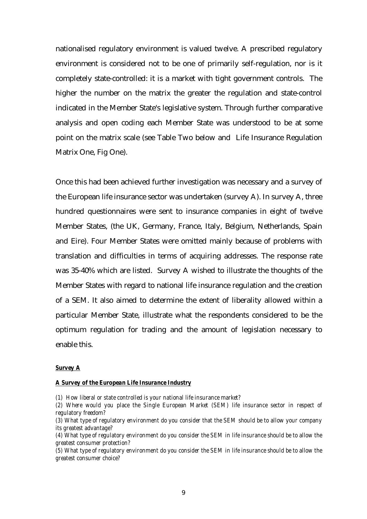nationalised regulatory environment is valued twelve. A prescribed regulatory environment is considered not to be one of primarily self-regulation, nor is it completely state-controlled: it is a market with tight government controls. The higher the number on the matrix the greater the regulation and state-control indicated in the Member State's legislative system. Through further comparative analysis and open coding each Member State was understood to be at some point on the matrix scale (see Table Two below and Life Insurance Regulation Matrix One, Fig One).

Once this had been achieved further investigation was necessary and a survey of the European life insurance sector was undertaken (survey A). In survey A, three hundred questionnaires were sent to insurance companies in eight of twelve Member States, (the UK, Germany, France, Italy, Belgium, Netherlands, Spain and Eire). Four Member States were omitted mainly because of problems with translation and difficulties in terms of acquiring addresses. The response rate was 35-40% which are listed. Survey A wished to illustrate the thoughts of the Member States with regard to national life insurance regulation and the creation of a SEM. It also aimed to determine the extent of liberality allowed within a particular Member State, illustrate what the respondents considered to be the optimum regulation for trading and the amount of legislation necessary to enable this.

#### *Survey A*

#### *A Survey of the European Life Insurance Industry*

- *(1) How liberal or state controlled is your national life insurance market?*
- *(2) Where would you place the Single European Market (SEM) life insurance sector in respect of regulatory freedom?*
- *(3) What type of regulatory environment do you consider that the SEM should be to allow your company its greatest advantage?*
- *(4) What type of regulatory environment do you consider the SEM in life insurance should be to allow the greatest consumer protection?*
- *(5) What type of regulatory environment do you consider the SEM in life insurance should be to allow the greatest consumer choice?*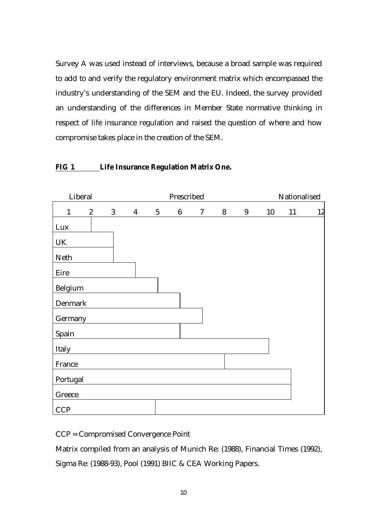Survey A was used instead of interviews, because a broad sample was required to add to and verify the regulatory environment matrix which encompassed the industry's understanding of the SEM and the EU. Indeed, the survey provided an understanding of the differences in Member State normative thinking in respect of life insurance regulation and raised the question of where and how compromise takes place in the creation of the SEM.

## **FIG 1 Life Insurance Regulation Matrix One.**



CCP = Compromised Convergence Point

Matrix compiled from an analysis of Munich Re: (1988), Financial Times (1992),

Sigma Re: (1988-93), Pool (1991) BIIC & CEA Working Papers.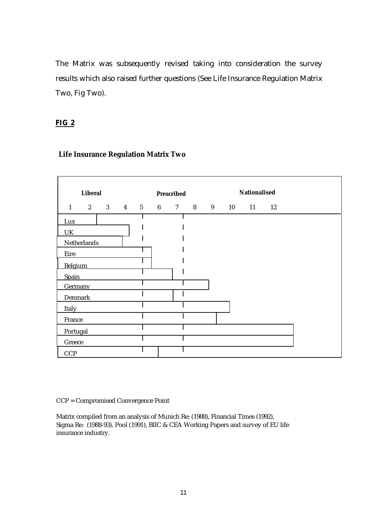The Matrix was subsequently revised taking into consideration the survey results which also raised further questions (See Life Insurance Regulation Matrix Two, Fig Two).

## **FIG 2**

| <b>Liberal</b>    |  |  | <b>Prescribed</b> |  |  | <b>Nationalised</b> |  |                          |  |  |  |
|-------------------|--|--|-------------------|--|--|---------------------|--|--------------------------|--|--|--|
| $1 \qquad \qquad$ |  |  |                   |  |  |                     |  | 2 3 4 5 6 7 8 9 10 11 12 |  |  |  |
| Lux               |  |  |                   |  |  |                     |  |                          |  |  |  |
| UK                |  |  |                   |  |  |                     |  |                          |  |  |  |
| Netherlands       |  |  |                   |  |  |                     |  |                          |  |  |  |
| Eire              |  |  |                   |  |  |                     |  |                          |  |  |  |
| Belgium           |  |  |                   |  |  |                     |  |                          |  |  |  |
| Spain             |  |  |                   |  |  |                     |  |                          |  |  |  |
| <b>Germany</b>    |  |  |                   |  |  |                     |  |                          |  |  |  |
| Denmark           |  |  |                   |  |  |                     |  |                          |  |  |  |
| Italy             |  |  |                   |  |  |                     |  |                          |  |  |  |
| France            |  |  |                   |  |  |                     |  |                          |  |  |  |
| Portugal          |  |  |                   |  |  |                     |  |                          |  |  |  |
| Greece            |  |  |                   |  |  |                     |  |                          |  |  |  |
| <b>CCP</b>        |  |  |                   |  |  |                     |  |                          |  |  |  |

## **Life Insurance Regulation Matrix Two**

CCP = Compromised Convergence Point

Matrix compiled from an analysis of Munich Re: (1988), Financial Times (1992), Sigma Re: (1988-93), Pool (1991), BIIC & CEA Working Papers and survey of EU life insurance industry.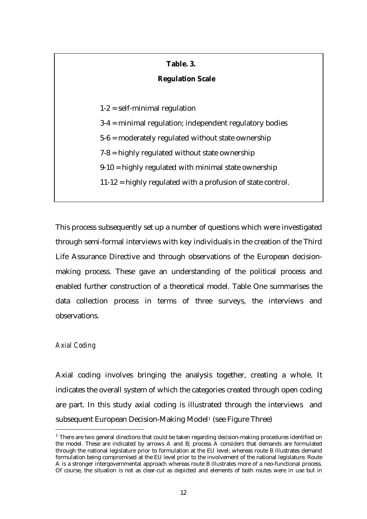## **Table. 3.**

## **Regulation Scale**

 $1-2$  = self-minimal regulation

3-4 = minimal regulation; independent regulatory bodies

5-6 = moderately regulated without state ownership

7-8 = highly regulated without state ownership

 $9-10$  = highly regulated with minimal state ownership

11-12 = highly regulated with a profusion of state control.

This process subsequently set up a number of questions which were investigated through semi-formal interviews with key individuals in the creation of the Third Life Assurance Directive and through observations of the European decisionmaking process. These gave an understanding of the political process and enabled further construction of a theoretical model. Table One summarises the data collection process in terms of three surveys, the interviews and observations.

## *Axial Coding*

 $\overline{a}$ 

Axial coding involves bringing the analysis together, creating a whole. It indicates the overall system of which the categories created through open coding are part. In this study axial coding is illustrated through the interviews and subsequent European Decision-Making Model<sup>1</sup> (see Figure Three)

<sup>&</sup>lt;sup>1</sup> There are two general directions that could be taken regarding decision-making procedures identified on the model. These are indicated by arrows A and B; process A considers that demands are formulated through the national legislature prior to formulation at the EU level; whereas route B illustrates demand formulation being compromised at the EU level prior to the involvement of the national legislature. Route A is a stronger intergovernmental approach whereas route B illustrates more of a neo-functional process. Of course, the situation is not as clear-cut as depicted and elements of both routes were in use but in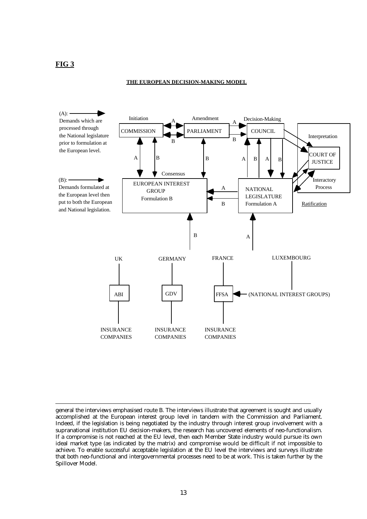## **FIG 3**

 $\overline{a}$ 

#### **THE EUROPEAN DECISION-MAKING MODEL**



general the interviews emphasised route B. The interviews illustrate that agreement is sought and usually accomplished at the European interest group level in tandem with the Commission and Parliament. Indeed, if the legislation is being negotiated by the industry through interest group involvement with a supranational institution EU decision-makers, the research has uncovered elements of neo-functionalism. If a compromise is not reached at the EU level, then each Member State industry would pursue its own ideal market type (as indicated by the matrix) and compromise would be difficult if not impossible to achieve. To enable successful acceptable legislation at the EU level the interviews and surveys illustrate that both neo-functional and intergovernmental processes need to be at work. This is taken further by the Spillover Model.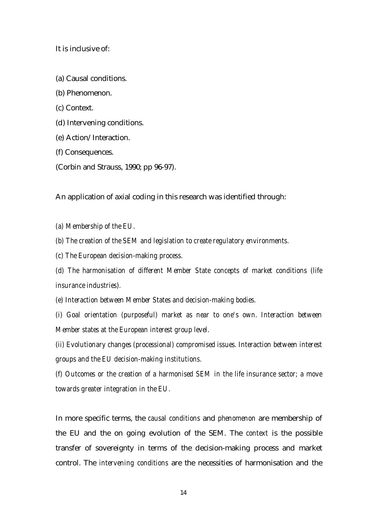It is inclusive of:

- (a) Causal conditions.
- (b) Phenomenon.
- (c) Context.
- (d) Intervening conditions.
- (e) Action/Interaction.
- (f) Consequences.
- (Corbin and Strauss, 1990; pp 96-97).

An application of axial coding in this research was identified through:

- *(a) Membership of the EU.*
- *(b) The creation of the SEM and legislation to create regulatory environments.*
- *(c) The European decision-making process.*
- *(d) The harmonisation of different Member State concepts of market conditions (life insurance industries).*
- *(e) Interaction between Member States and decision-making bodies.*

*(i) Goal orientation (purposeful) market as near to one's own. Interaction between Member states at the European interest group level.*

*(ii) Evolutionary changes (processional) compromised issues. Interaction between interest groups and the EU decision-making institutions.*

*(f) Outcomes or the creation of a harmonised SEM in the life insurance sector; a move towards greater integration in the EU.*

In more specific terms, the *causal conditions* and *phenomenon* are membership of the EU and the on going evolution of the SEM. The *context* is the possible transfer of sovereignty in terms of the decision-making process and market control. The *intervening conditions* are the necessities of harmonisation and the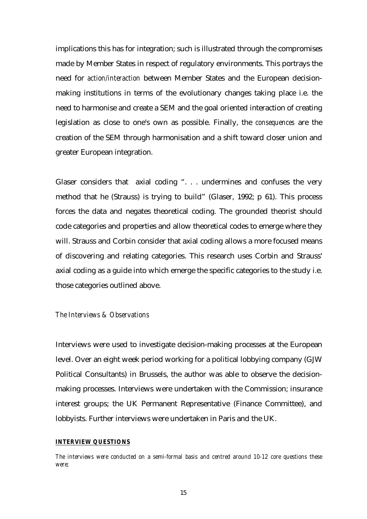implications this has for integration; such is illustrated through the compromises made by Member States in respect of regulatory environments. This portrays the need for *action/interaction* between Member States and the European decisionmaking institutions in terms of the evolutionary changes taking place i.e. the need to harmonise and create a SEM and the goal oriented interaction of creating legislation as close to one's own as possible. Finally, the *consequences* are the creation of the SEM through harmonisation and a shift toward closer union and greater European integration.

Glaser considers that axial coding ". . . undermines and confuses the very method that he (Strauss) is trying to build" (Glaser, 1992; p 61). This process forces the data and negates theoretical coding. The grounded theorist should code categories and properties and allow theoretical codes to emerge where they will. Strauss and Corbin consider that axial coding allows a more focused means of discovering and relating categories. This research uses Corbin and Strauss' axial coding as a guide into which emerge the specific categories to the study i.e. those categories outlined above.

### *The Interviews & Observations*

Interviews were used to investigate decision-making processes at the European level. Over an eight week period working for a political lobbying company (GJW Political Consultants) in Brussels, the author was able to observe the decisionmaking processes. Interviews were undertaken with the Commission; insurance interest groups; the UK Permanent Representative (Finance Committee), and lobbyists. Further interviews were undertaken in Paris and the UK.

#### *INTERVIEW QUESTIONS*

*The interviews were conducted on a semi-formal basis and centred around 10-12 core questions these were;*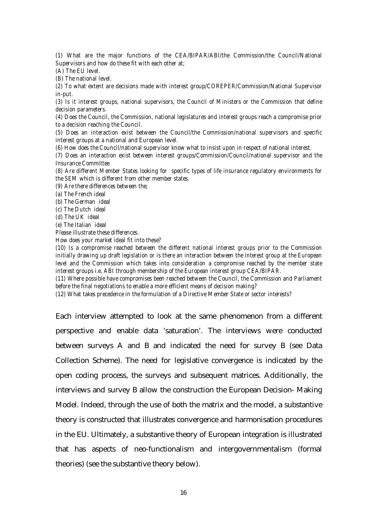*(1) What are the major functions of the CEA/BIPAR/ABI/the Commission/the Council/National Supervisors and how do these fit with each other at;*

*(A) The EU level.*

*(B) The national level.*

*(2) To what extent are decisions made with interest group/COREPER/Commission/National Supervisor in-put.*

*(3) Is it interest groups, national supervisors, the Council of Ministers or the Commission that define decision parameters.*

*(4) Does the Council, the Commission, national legislatures and interest groups reach a compromise prior to a decision reaching the Council.*

*(5) Does an interaction exist between the Council/the Commission/national supervisors and specific interest groups at a national and European level.*

*(6) How does the Council/national supervisor know what to insist upon in respect of national interest.*

*(7) Does an interaction exist between interest groups/Commission/Council/national supervisor and the Insurance Committee*

*(8) Are different Member States looking for specific types of life insurance regulatory environments for the SEM which is different from other member states.*

*(9) Are there differences between the;*

*(a) The French ideal*

*(b) The German ideal*

*(c) The Dutch ideal*

*(d) The UK ideal*

*(e) The Italian ideal*

*Please illustrate these differences.*

*How does your market ideal fit into these?*

*(10) Is a compromise reached between the different national interest groups prior to the Commission initially drawing up draft legislation or is there an interaction between the interest group at the European level and the Commission which takes into consideration a compromise reached by the member state interest groups i.e. ABI through membership of the European interest group CEA/BIPAR.*

*(11) Where possible have compromises been reached between the Council, the Commission and Parliament before the final negotiations to enable a more efficient means of decision making?*

*(12) What takes precedence in the formulation of a Directive Member State or sector interests?*

Each interview attempted to look at the same phenomenon from a different perspective and enable data 'saturation'. The interviews were conducted between surveys A and B and indicated the need for survey B (see Data Collection Scheme). The need for legislative convergence is indicated by the open coding process, the surveys and subsequent matrices. Additionally, the interviews and survey B allow the construction the European Decision- Making Model. Indeed, through the use of both the matrix and the model, a substantive theory is constructed that illustrates convergence and harmonisation procedures in the EU. Ultimately, a substantive theory of European integration is illustrated that has aspects of neo-functionalism and intergovernmentalism (formal theories) (see the substantive theory below).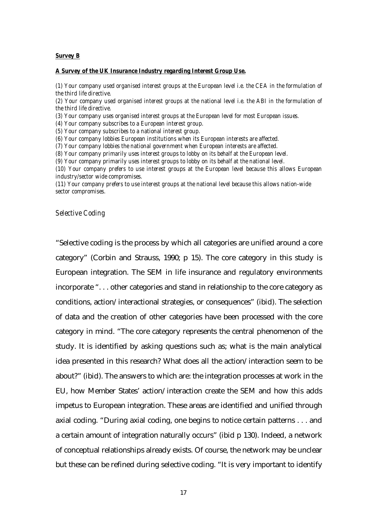#### *Survey B*

#### *A Survey of the UK Insurance Industry regarding Interest Group Use.*

*(1) Your company used organised interest groups at the European level i.e. the CEA in the formulation of the third life directive.*

*(2) Your company used organised interest groups at the national level i.e. the ABI in the formulation of the third life directive.*

*(3) Your company uses organised interest groups at the European level for most European issues.*

*(4) Your company subscribes to a European interest group.*

*(5) Your company subscribes to a national interest group.*

*(6) Your company lobbies European institutions when its European interests are affected.*

*(7) Your company lobbies the national government when European interests are affected.*

*(8) Your company primarily uses interest groups to lobby on its behalf at the European level.*

*(9) Your company primarily uses interest groups to lobby on its behalf at the national level.*

*(10) Your company prefers to use interest groups at the European level because this allows European industry/sector wide compromises.*

*(11) Your company prefers to use interest groups at the national level because this allows nation-wide sector compromises.*

#### *Selective Coding*

"Selective coding is the process by which all categories are unified around a core category" (Corbin and Strauss, 1990; p 15). The core category in this study is European integration. The SEM in life insurance and regulatory environments incorporate ". . . other categories and stand in relationship to the core category as conditions, action/interactional strategies, or consequences" (ibid). The selection of data and the creation of other categories have been processed with the core category in mind. "The core category represents the central phenomenon of the study. It is identified by asking questions such as; what is the main analytical idea presented in this research? What does all the action/interaction seem to be about?" (ibid). The answers to which are: the integration processes at work in the EU, how Member States' action/interaction create the SEM and how this adds impetus to European integration. These areas are identified and unified through axial coding. "During axial coding, one begins to notice certain patterns . . . and a certain amount of integration naturally occurs" (ibid p 130). Indeed, a network of conceptual relationships already exists. Of course, the network may be unclear but these can be refined during selective coding. "It is very important to identify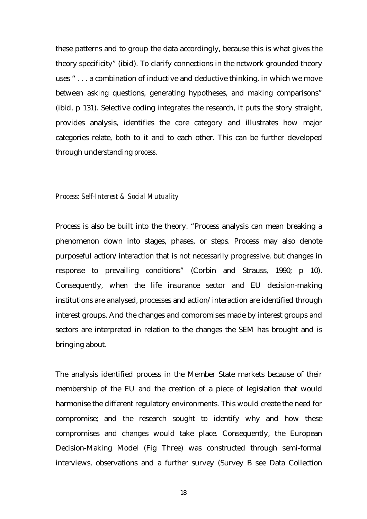these patterns and to group the data accordingly, because this is what gives the theory specificity" (ibid). To clarify connections in the network grounded theory uses " . . . a combination of inductive and deductive thinking, in which we move between asking questions, generating hypotheses, and making comparisons" (ibid, p 131). Selective coding integrates the research, it puts the story straight, provides analysis, identifies the core category and illustrates how major categories relate, both to it and to each other. This can be further developed through understanding *process*.

#### *Process: Self-Interest & Social Mutuality*

Process is also be built into the theory. "Process analysis can mean breaking a phenomenon down into stages, phases, or steps. Process may also denote purposeful action/interaction that is not necessarily progressive, but changes in response to prevailing conditions" (Corbin and Strauss, 1990; p 10). Consequently, when the life insurance sector and EU decision-making institutions are analysed, processes and action/interaction are identified through interest groups. And the changes and compromises made by interest groups and sectors are interpreted in relation to the changes the SEM has brought and is bringing about.

The analysis identified process in the Member State markets because of their membership of the EU and the creation of a piece of legislation that would harmonise the different regulatory environments. This would create the need for compromise; and the research sought to identify why and how these compromises and changes would take place. Consequently, the European Decision-Making Model (Fig Three) was constructed through semi-formal interviews, observations and a further survey (Survey B see Data Collection

18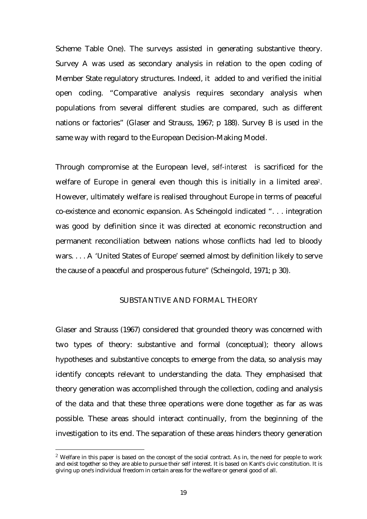Scheme Table One). The surveys assisted in generating substantive theory. Survey A was used as secondary analysis in relation to the open coding of Member State regulatory structures. Indeed, it added to and verified the initial open coding. "Comparative analysis requires secondary analysis when populations from several different studies are compared, such as different nations or factories" (Glaser and Strauss, 1967; p 188). Survey B is used in the same way with regard to the European Decision-Making Model.

Through compromise at the European level, *self-interest* is sacrificed for the welfare of Europe in general even though this is initially in a limited area<sup>2</sup>. However, ultimately welfare is realised throughout Europe in terms of peaceful co-existence and economic expansion. As Scheingold indicated ". . . integration was good by definition since it was directed at economic reconstruction and permanent reconciliation between nations whose conflicts had led to bloody wars. . . . A 'United States of Europe' seemed almost by definition likely to serve the cause of a peaceful and prosperous future" (Scheingold, 1971; p 30).

## SUBSTANTIVE AND FORMAL THEORY

Glaser and Strauss (1967) considered that grounded theory was concerned with two types of theory: substantive and formal (conceptual); theory allows hypotheses and substantive concepts to emerge from the data, so analysis may identify concepts relevant to understanding the data. They emphasised that theory generation was accomplished through the collection, coding and analysis of the data and that these three operations were done together as far as was possible. These areas should interact continually, from the beginning of the investigation to its end. The separation of these areas hinders theory generation

 $\overline{a}$ 

 $2$  Welfare in this paper is based on the concept of the social contract. As in, the need for people to work and exist together so they are able to pursue their self interest. It is based on Kant's civic constitution. It is giving up one's individual freedom in certain areas for the welfare or general good of all.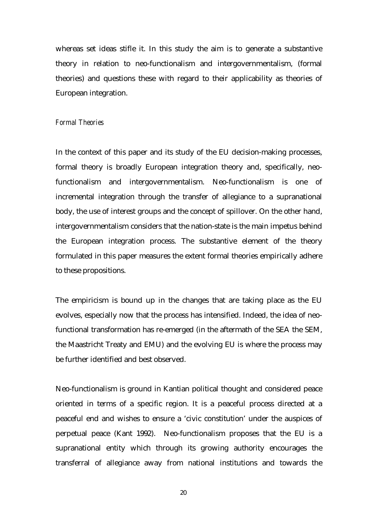whereas set ideas stifle it. In this study the aim is to generate a substantive theory in relation to neo-functionalism and intergovernmentalism, (formal theories) and questions these with regard to their applicability as theories of European integration.

#### *Formal Theories*

In the context of this paper and its study of the EU decision-making processes, formal theory is broadly European integration theory and, specifically, neofunctionalism and intergovernmentalism. Neo-functionalism is one of incremental integration through the transfer of allegiance to a supranational body, the use of interest groups and the concept of spillover. On the other hand, intergovernmentalism considers that the nation-state is the main impetus behind the European integration process. The substantive element of the theory formulated in this paper measures the extent formal theories empirically adhere to these propositions.

The empiricism is bound up in the changes that are taking place as the EU evolves, especially now that the process has intensified. Indeed, the idea of neofunctional transformation has re-emerged (in the aftermath of the SEA the SEM, the Maastricht Treaty and EMU) and the evolving EU is where the process may be further identified and best observed.

Neo-functionalism is ground in Kantian political thought and considered peace oriented in terms of a specific region. It is a peaceful process directed at a peaceful end and wishes to ensure a 'civic constitution' under the auspices of perpetual peace (Kant 1992). Neo-functionalism proposes that the EU is a supranational entity which through its growing authority encourages the transferral of allegiance away from national institutions and towards the

20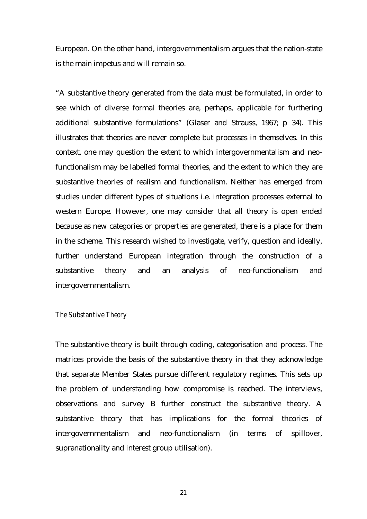European. On the other hand, intergovernmentalism argues that the nation-state is the main impetus and will remain so.

"A substantive theory generated from the data must be formulated, in order to see which of diverse formal theories are, perhaps, applicable for furthering additional substantive formulations" (Glaser and Strauss, 1967; p 34). This illustrates that theories are never complete but processes in themselves. In this context, one may question the extent to which intergovernmentalism and neofunctionalism may be labelled formal theories, and the extent to which they are substantive theories of realism and functionalism. Neither has emerged from studies under different types of situations i.e. integration processes external to western Europe. However, one may consider that all theory is open ended because as new categories or properties are generated, there is a place for them in the scheme. This research wished to investigate, verify, question and ideally, further understand European integration through the construction of a substantive theory and an analysis of neo-functionalism and intergovernmentalism.

#### *The Substantive Theory*

The substantive theory is built through coding, categorisation and process. The matrices provide the basis of the substantive theory in that they acknowledge that separate Member States pursue different regulatory regimes. This sets up the problem of understanding how compromise is reached. The interviews, observations and survey B further construct the substantive theory. A substantive theory that has implications for the formal theories of intergovernmentalism and neo-functionalism (in terms of spillover, supranationality and interest group utilisation).

21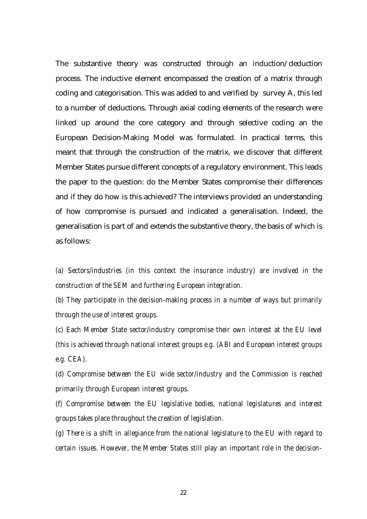The substantive theory was constructed through an induction/deduction process. The inductive element encompassed the creation of a matrix through coding and categorisation. This was added to and verified by survey A, this led to a number of deductions. Through axial coding elements of the research were linked up around the core category and through selective coding an the European Decision-Making Model was formulated. In practical terms, this meant that through the construction of the matrix, we discover that different Member States pursue different concepts of a regulatory environment. This leads the paper to the question: do the Member States compromise their differences and if they do how is this achieved? The interviews provided an understanding of how compromise is pursued and indicated a generalisation. Indeed, the generalisation is part of and extends the substantive theory, the basis of which is as follows:

*(a) Sectors/industries (in this context the insurance industry) are involved in the construction of the SEM and furthering European integration.*

*(b) They participate in the decision-making process in a number of ways but primarily through the use of interest groups.*

*(c) Each Member State sector/industry compromise their own interest at the EU level (this is achieved through national interest groups e.g. (ABI and European interest groups e.g. CEA).*

*(d) Compromise between the EU wide sector/industry and the Commission is reached primarily through European interest groups.*

*(f) Compromise between the EU legislative bodies, national legislatures and interest groups takes place throughout the creation of legislation.*

*(g) There is a shift in allegiance from the national legislature to the EU with regard to certain issues. However, the Member States still play an important role in the decision-*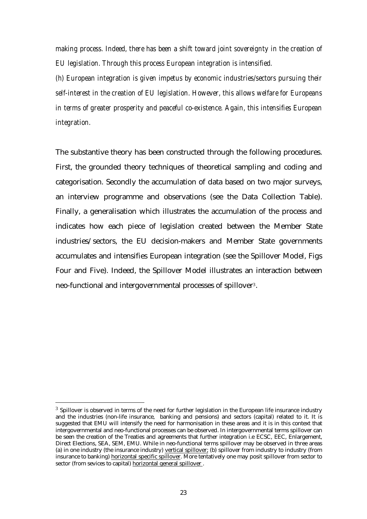*making process. Indeed, there has been a shift toward joint sovereignty in the creation of EU legislation. Through this process European integration is intensified.*

*(h) European integration is given impetus by economic industries/sectors pursuing their self-interest in the creation of EU legislation. However, this allows welfare for Europeans in terms of greater prosperity and peaceful co-existence. Again, this intensifies European integration.*

The substantive theory has been constructed through the following procedures. First, the grounded theory techniques of theoretical sampling and coding and categorisation. Secondly the accumulation of data based on two major surveys, an interview programme and observations (see the Data Collection Table). Finally, a generalisation which illustrates the accumulation of the process and indicates how each piece of legislation created between the Member State industries/sectors, the EU decision-makers and Member State governments accumulates and intensifies European integration (see the Spillover Model, Figs Four and Five). Indeed, the Spillover Model illustrates an interaction between neo-functional and intergovernmental processes of spillover<sup>3</sup>.

 $\overline{a}$ 

 $3$  Spillover is observed in terms of the need for further legislation in the European life insurance industry and the industries (non-life insurance, banking and pensions) and sectors (capital) related to it. It is suggested that EMU will intensify the need for harmonisation in these areas and it is in this context that intergovernmental and neo-functional processes can be observed. In intergovernmental terms spillover can be seen the creation of the Treaties and agreements that further integration i.e ECSC, EEC, Enlargement, Direct Elections, SEA, SEM, EMU. While in neo-functional terms spillover may be observed in three areas (a) in one industry (the insurance industry) vertical spillover; (b) spillover from industry to industry (from insurance to banking) horizontal specific spillover. More tentatively one may posit spillover from sector to sector (from sevices to capital) horizontal general spillover .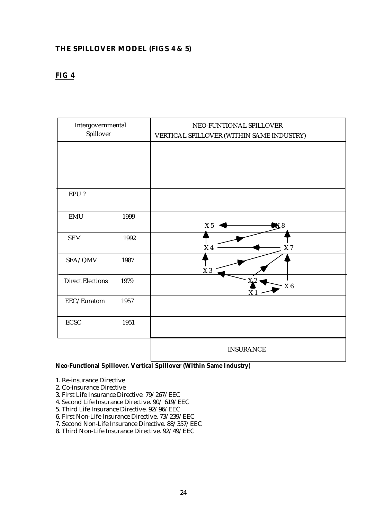## **THE SPILLOVER MODEL (FIGS 4 & 5)**

# **FIG 4**

| Intergovernmental<br>Spillover |      | NEO-FUNTIONAL SPILLOVER<br>VERTICAL SPILLOVER (WITHIN SAME INDUSTRY) |
|--------------------------------|------|----------------------------------------------------------------------|
|                                |      |                                                                      |
|                                |      |                                                                      |
| EPU?                           |      |                                                                      |
| EMU                            | 1999 | X <sub>5</sub>                                                       |
| <b>SEM</b>                     | 1992 | $\geq 4$<br>X <sub>7</sub>                                           |
| SEA/QMV                        | 1987 | $\ge 3$                                                              |
| <b>Direct Elections</b>        | 1979 | Xŵ<br>$\Chi$ 6                                                       |
| EEC/Euratom                    | 1957 |                                                                      |
| $\operatorname{ECSC}$          | 1951 |                                                                      |
|                                |      | <b>INSURANCE</b>                                                     |

#### **Neo-Functional Spillover. Vertical Spillover (Within Same Industry)**

- 1. Re-insurance Directive
- 2. Co-insurance Directive
- 3. First Life Insurance Directive. 79/267/EEC
- 4. Second Life Insurance Directive. 90/ 619/EEC
- 5. Third Life Insurance Directive. 92/96/EEC
- 6. First Non-Life Insurance Directive. 73/239/EEC
- 7. Second Non-Life Insurance Directive. 88/357/EEC
- 8. Third Non-Life Insurance Directive. 92/49/EEC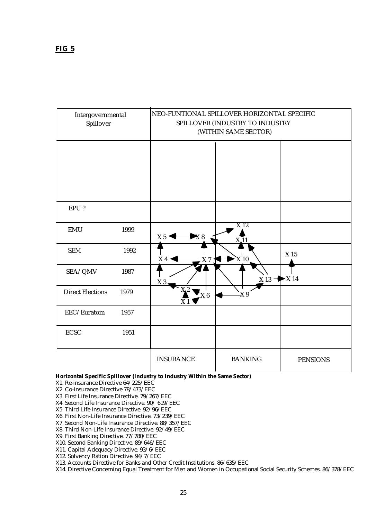| Intergovernmental<br>Spillover |      | NEO-FUNTIONAL SPILLOVER HORIZONTAL SPECIFIC<br>SPILLOVER (INDUSTRY TO INDUSTRY<br>(WITHIN SAME SECTOR) |                  |                            |  |  |  |
|--------------------------------|------|--------------------------------------------------------------------------------------------------------|------------------|----------------------------|--|--|--|
|                                |      |                                                                                                        |                  |                            |  |  |  |
|                                |      |                                                                                                        |                  |                            |  |  |  |
| EPU?                           |      |                                                                                                        |                  |                            |  |  |  |
| <b>EMU</b>                     | 1999 | $\times 8$<br>X 5                                                                                      | $\overline{X12}$ |                            |  |  |  |
| <b>SEM</b>                     | 1992 | X4<br>X 7                                                                                              | $X_{10}$         | X 15                       |  |  |  |
| SEA/QMV                        | 1987 | X <sub>3</sub>                                                                                         | $X$ 13 $-$       | $\blacktriangleright$ X 14 |  |  |  |
| <b>Direct Elections</b>        | 1979 | X.2<br>X6<br>X <sub>1</sub>                                                                            | X <sub>9</sub>   |                            |  |  |  |
| EEC/Euratom                    | 1957 |                                                                                                        |                  |                            |  |  |  |
| <b>ECSC</b>                    | 1951 |                                                                                                        |                  |                            |  |  |  |
|                                |      | <b>INSURANCE</b>                                                                                       | <b>BANKING</b>   | <b>PENSIONS</b>            |  |  |  |

#### **Horizontal Specific Spillover (Industry to Industry Within the Same Sector)**

X1. Re-insurance Directive 64/225/EEC

X2. Co-insurance Directive 78/473/EEC

- X3. First Life Insurance Directive. 79/267/EEC
- X4. Second Life Insurance Directive. 90/ 619/EEC
- X5. Third Life Insurance Directive. 92/96/EEC

X6. First Non-Life Insurance Directive. 73/239/EEC

X7. Second Non-Life Insurance Directive. 88/357/EEC

X8. Third Non-Life Insurance Directive. 92/49/EEC

X9. First Banking Directive. 77/780/EEC

X10. Second Banking Directive. 89/646/EEC

X11. Capital Adequacy Directive. 93/6/EEC

X12. Solvency Ration Directive. 94/7/EEC

X13. Accounts Directive for Banks and Other Credit Institutions. 86/635/EEC

X14. Directive Concerning Equal Treatment for Men and Women in Occupational Social Security Schemes. 86/378/EEC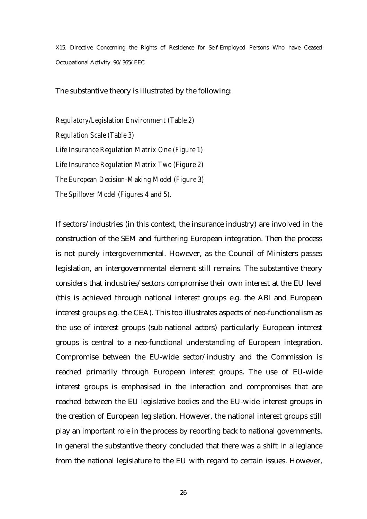X15. Directive Concerning the Rights of Residence for Self-Employed Persons Who have Ceased Occupational Activity. 90/365/EEC

The substantive theory is illustrated by the following:

*Regulatory/Legislation Environment (Table 2) Regulation Scale (Table 3) Life Insurance Regulation Matrix One (Figure 1) Life Insurance Regulation Matrix Two (Figure 2) The European Decision-Making Model (Figure 3) The Spillover Model (Figures 4 and 5).*

If sectors/industries (in this context, the insurance industry) are involved in the construction of the SEM and furthering European integration. Then the process is not purely intergovernmental. However, as the Council of Ministers passes legislation, an intergovernmental element still remains. The substantive theory considers that industries/sectors compromise their own interest at the EU level (this is achieved through national interest groups e.g. the ABI and European interest groups e.g. the CEA). This too illustrates aspects of neo-functionalism as the use of interest groups (sub-national actors) particularly European interest groups is central to a neo-functional understanding of European integration. Compromise between the EU-wide sector/industry and the Commission is reached primarily through European interest groups. The use of EU-wide interest groups is emphasised in the interaction and compromises that are reached between the EU legislative bodies and the EU-wide interest groups in the creation of European legislation. However, the national interest groups still play an important role in the process by reporting back to national governments. In general the substantive theory concluded that there was a shift in allegiance from the national legislature to the EU with regard to certain issues. However,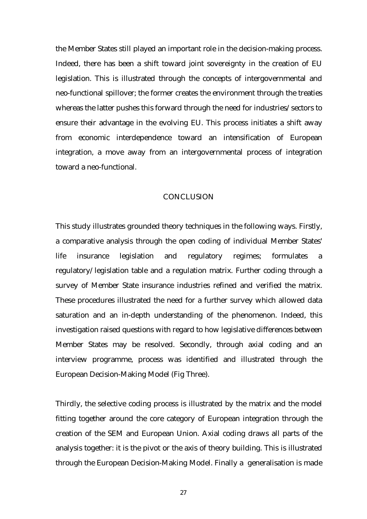the Member States still played an important role in the decision-making process. Indeed, there has been a shift toward joint sovereignty in the creation of EU legislation. This is illustrated through the concepts of intergovernmental and neo-functional spillover; the former creates the environment through the treaties whereas the latter pushes this forward through the need for industries/sectors to ensure their advantage in the evolving EU. This process initiates a shift away from economic interdependence toward an intensification of European integration, a move away from an intergovernmental process of integration toward a neo-functional.

### **CONCLUSION**

This study illustrates grounded theory techniques in the following ways. Firstly, a comparative analysis through the open coding of individual Member States' life insurance legislation and regulatory regimes; formulates a regulatory/legislation table and a regulation matrix. Further coding through a survey of Member State insurance industries refined and verified the matrix. These procedures illustrated the need for a further survey which allowed data saturation and an in-depth understanding of the phenomenon. Indeed, this investigation raised questions with regard to how legislative differences between Member States may be resolved. Secondly, through axial coding and an interview programme, process was identified and illustrated through the European Decision-Making Model (Fig Three).

Thirdly, the selective coding process is illustrated by the matrix and the model fitting together around the core category of European integration through the creation of the SEM and European Union. Axial coding draws all parts of the analysis together: it is the pivot or the axis of theory building. This is illustrated through the European Decision-Making Model. Finally a generalisation is made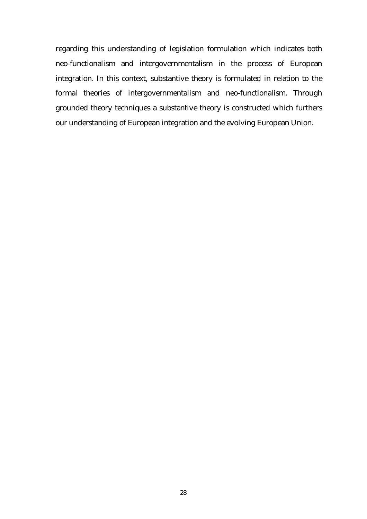regarding this understanding of legislation formulation which indicates both neo-functionalism and intergovernmentalism in the process of European integration. In this context, substantive theory is formulated in relation to the formal theories of intergovernmentalism and neo-functionalism. Through grounded theory techniques a substantive theory is constructed which furthers our understanding of European integration and the evolving European Union.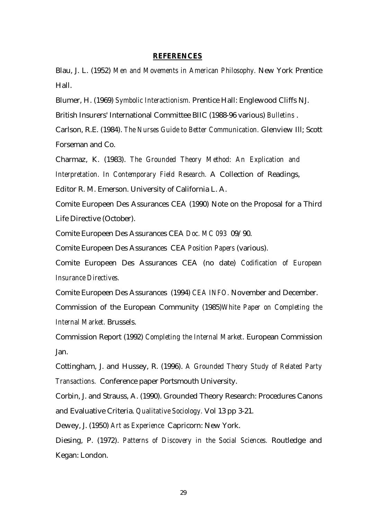#### **REFERENCES**

Blau, J. L. (1952) *Men and Movements in American Philosophy.* New York Prentice Hall.

Blumer, H. (1969) *Symbolic Interactionism.* Prentice Hall: Englewood Cliffs NJ.

British Insurers' International Committee BIIC (1988-96 various) *Bulletins* .

Carlson, R.E. (1984). *The Nurses Guide to Better Communication.* Glenview Ill; Scott Forseman and Co.

Charmaz, K. (1983). *The Grounded Theory Method: An Explication and Interpretation. In Contemporary Field Research.* A Collection of Readings,

Editor R. M. Emerson. University of California L. A.

Comite Europeen Des Assurances CEA (1990) Note on the Proposal for a Third Life Directive (October).

Comite Europeen Des Assurances CEA *Doc. MC 093* 09/90.

Comite Europeen Des Assurances CEA *Position Papers* (various).

Comite Europeen Des Assurances CEA (no date) *Codification of European Insurance Directives.*

Comite Europeen Des Assurances (1994) *CEA INFO.* November and December.

Commission of the European Community (1985)*White Paper on Completing the Internal Market.* Brussels.

Commission Report (1992) *Completing the Internal Market*. European Commission Jan.

Cottingham, J. and Hussey, R. (1996). *A Grounded Theory Study of Related Party Transactions.* Conference paper Portsmouth University.

Corbin, J. and Strauss, A. (1990). Grounded Theory Research: Procedures Canons and Evaluative Criteria. *Qualitative Sociology.* Vol 13 pp 3-21.

Dewey, J. (1950) *Art as Experience* Capricorn: New York.

Diesing, P. (1972). *Patterns of Discovery in the Social Sciences.* Routledge and Kegan: London.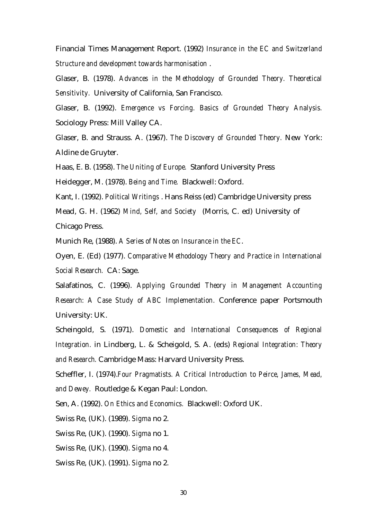Financial Times Management Report. (1992) *Insurance in the EC and Switzerland Structure and development towards harmonisation* .

Glaser, B. (1978). *Advances in the Methodology of Grounded Theory. Theoretical Sensitivity.* University of California, San Francisco.

Glaser, B. (1992). *Emergence vs Forcing. Basics of Grounded Theory Analysis.* Sociology Press: Mill Valley CA.

Glaser, B. and Strauss. A. (1967). *The Discovery of Grounded Theory.* New York: Aldine de Gruyter.

Haas, E. B. (1958). *The Uniting of Europe.* Stanford University Press

Heidegger, M. (1978). *Being and Time.* Blackwell: Oxford.

Kant, I. (1992). *Political Writings* . Hans Reiss (ed) Cambridge University press

Mead, G. H. (1962) *Mind, Self, and Society* (Morris, C. ed) University of Chicago Press.

Munich Re, (1988). *A Series of Notes on Insurance in the EC*.

Oyen, E. (Ed) (1977). *Comparative Methodology Theory and Practice in International Social Research.* CA: Sage.

Salafatinos, C. (1996). *Applying Grounded Theory in Management Accounting Research: A Case Study of ABC Implementation.* Conference paper Portsmouth University: UK.

Scheingold, S. (1971). *Domestic and International Consequences of Regional Integration.* in Lindberg, L. & Scheigold, S. A. (eds) *Regional Integration: Theory and Research.* Cambridge Mass: Harvard University Press.

Scheffler, I. (1974).*Four Pragmatists. A Critical Introduction to Peirce, James, Mead, and Dewey.* Routledge & Kegan Paul: London.

Sen, A. (1992). *On Ethics and Economics.* Blackwell: Oxford UK.

Swiss Re, (UK). (1989). *Sigma* no 2.

Swiss Re, (UK). (1990). *Sigma* no 1.

Swiss Re, (UK). (1990). *Sigma* no 4.

Swiss Re, (UK). (1991). *Sigma* no 2.